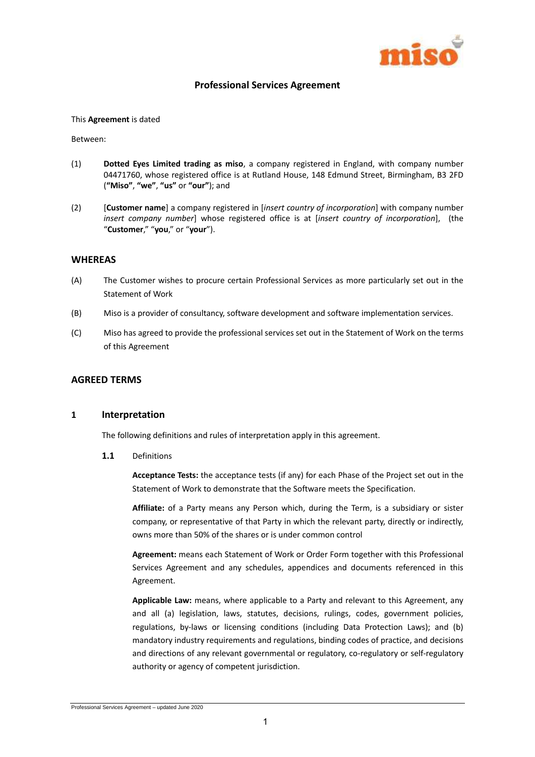

## **Professional Services Agreement**

#### This **Agreement** is dated

Between:

- (1) **Dotted Eyes Limited trading as miso**, a company registered in England, with company number 04471760, whose registered office is at Rutland House, 148 Edmund Street, Birmingham, B3 2FD (**"Miso"**, **"we"**, **"us"** or **"our"**); and
- (2) [**Customer name**] a company registered in [*insert country of incorporation*] with company number *insert company number*] whose registered office is at [*insert country of incorporation*], (the "**Customer**," "**you**," or "**your**").

#### **WHEREAS**

- (A) The Customer wishes to procure certain Professional Services as more particularly set out in the Statement of Work
- (B) Miso is a provider of consultancy, software development and software implementation services.
- (C) Miso has agreed to provide the professional services set out in the Statement of Work on the terms of this Agreement

#### **AGREED TERMS**

#### **1 Interpretation**

The following definitions and rules of interpretation apply in this agreement.

**1.1** Definitions

**Acceptance Tests:** the acceptance tests (if any) for each Phase of the Project set out in the Statement of Work to demonstrate that the Software meets the Specification.

**Affiliate:** of a Party means any Person which, during the Term, is a subsidiary or sister company, or representative of that Party in which the relevant party, directly or indirectly, owns more than 50% of the shares or is under common control

**Agreement:** means each Statement of Work or Order Form together with this Professional Services Agreement and any schedules, appendices and documents referenced in this Agreement.

**Applicable Law:** means, where applicable to a Party and relevant to this Agreement, any and all (a) legislation, laws, statutes, decisions, rulings, codes, government policies, regulations, by-laws or licensing conditions (including Data Protection Laws); and (b) mandatory industry requirements and regulations, binding codes of practice, and decisions and directions of any relevant governmental or regulatory, co-regulatory or self-regulatory authority or agency of competent jurisdiction.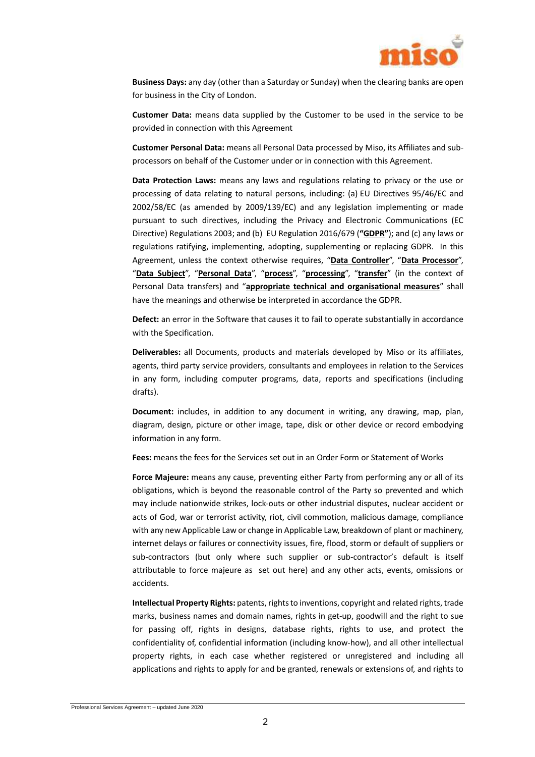

**Business Days:** any day (other than a Saturday or Sunday) when the clearing banks are open for business in the City of London.

**Customer Data:** means data supplied by the Customer to be used in the service to be provided in connection with this Agreement

**Customer Personal Data:** means all Personal Data processed by Miso, its Affiliates and subprocessors on behalf of the Customer under or in connection with this Agreement.

**Data Protection Laws:** means any laws and regulations relating to privacy or the use or processing of data relating to natural persons, including: (a) EU Directives 95/46/EC and 2002/58/EC (as amended by 2009/139/EC) and any legislation implementing or made pursuant to such directives, including the Privacy and Electronic Communications (EC Directive) Regulations 2003; and (b) EU Regulation 2016/679 (**"GDPR"**); and (c) any laws or regulations ratifying, implementing, adopting, supplementing or replacing GDPR. In this Agreement, unless the context otherwise requires, "**Data Controller**", "**Data Processor**", "**Data Subject**", "**Personal Data**", "**process**", "**processing**", "**transfer**" (in the context of Personal Data transfers) and "**appropriate technical and organisational measures**" shall have the meanings and otherwise be interpreted in accordance the GDPR.

**Defect:** an error in the Software that causes it to fail to operate substantially in accordance with the Specification.

**Deliverables:** all Documents, products and materials developed by Miso or its affiliates, agents, third party service providers, consultants and employees in relation to the Services in any form, including computer programs, data, reports and specifications (including drafts).

**Document:** includes, in addition to any document in writing, any drawing, map, plan, diagram, design, picture or other image, tape, disk or other device or record embodying information in any form.

**Fees:** means the fees for the Services set out in an Order Form or Statement of Works

**Force Majeure:** means any cause, preventing either Party from performing any or all of its obligations, which is beyond the reasonable control of the Party so prevented and which may include nationwide strikes, lock-outs or other industrial disputes, nuclear accident or acts of God, war or terrorist activity, riot, civil commotion, malicious damage, compliance with any new Applicable Law or change in Applicable Law, breakdown of plant or machinery, internet delays or failures or connectivity issues, fire, flood, storm or default of suppliers or sub-contractors (but only where such supplier or sub-contractor's default is itself attributable to force majeure as set out here) and any other acts, events, omissions or accidents.

**Intellectual Property Rights:** patents, rights to inventions, copyright and related rights, trade marks, business names and domain names, rights in get-up, goodwill and the right to sue for passing off, rights in designs, database rights, rights to use, and protect the confidentiality of, confidential information (including know-how), and all other intellectual property rights, in each case whether registered or unregistered and including all applications and rights to apply for and be granted, renewals or extensions of, and rights to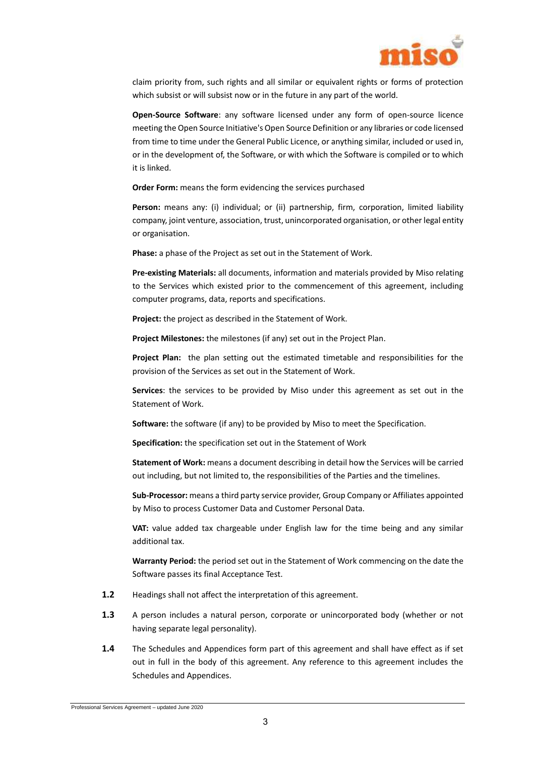

claim priority from, such rights and all similar or equivalent rights or forms of protection which subsist or will subsist now or in the future in any part of the world.

**Open-Source Software**: any software licensed under any form of open-source licence meeting the Open Source Initiative's Open Source Definition or any libraries or code licensed from time to time under the General Public Licence, or anything similar, included or used in, or in the development of, the Software, or with which the Software is compiled or to which it is linked.

**Order Form:** means the form evidencing the services purchased

**Person:** means any: (i) individual; or (ii) partnership, firm, corporation, limited liability company, joint venture, association, trust, unincorporated organisation, or other legal entity or organisation.

**Phase:** a phase of the Project as set out in the Statement of Work.

**Pre-existing Materials:** all documents, information and materials provided by Miso relating to the Services which existed prior to the commencement of this agreement, including computer programs, data, reports and specifications.

**Project:** the project as described in the Statement of Work.

**Project Milestones:** the milestones (if any) set out in the Project Plan.

**Project Plan:** the plan setting out the estimated timetable and responsibilities for the provision of the Services as set out in the Statement of Work.

**Services**: the services to be provided by Miso under this agreement as set out in the Statement of Work.

**Software:** the software (if any) to be provided by Miso to meet the Specification.

**Specification:** the specification set out in the Statement of Work

**Statement of Work:** means a document describing in detail how the Services will be carried out including, but not limited to, the responsibilities of the Parties and the timelines.

**Sub-Processor:** means a third party service provider, Group Company or Affiliates appointed by Miso to process Customer Data and Customer Personal Data.

**VAT:** value added tax chargeable under English law for the time being and any similar additional tax.

**Warranty Period:** the period set out in the Statement of Work commencing on the date the Software passes its final Acceptance Test.

- **1.2** Headings shall not affect the interpretation of this agreement.
- **1.3** A person includes a natural person, corporate or unincorporated body (whether or not having separate legal personality).
- **1.4** The Schedules and Appendices form part of this agreement and shall have effect as if set out in full in the body of this agreement. Any reference to this agreement includes the Schedules and Appendices.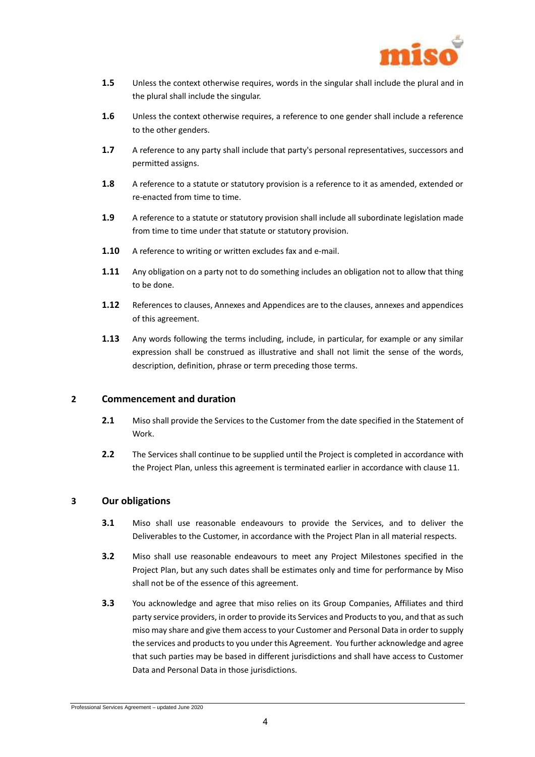

- **1.5** Unless the context otherwise requires, words in the singular shall include the plural and in the plural shall include the singular.
- **1.6** Unless the context otherwise requires, a reference to one gender shall include a reference to the other genders.
- **1.7** A reference to any party shall include that party's personal representatives, successors and permitted assigns.
- **1.8** A reference to a statute or statutory provision is a reference to it as amended, extended or re-enacted from time to time.
- **1.9** A reference to a statute or statutory provision shall include all subordinate legislation made from time to time under that statute or statutory provision.
- **1.10** A reference to writing or written excludes fax and e-mail.
- **1.11** Any obligation on a party not to do something includes an obligation not to allow that thing to be done.
- **1.12** References to clauses, Annexes and Appendices are to the clauses, annexes and appendices of this agreement.
- **1.13** Any words following the terms including, include, in particular, for example or any similar expression shall be construed as illustrative and shall not limit the sense of the words, description, definition, phrase or term preceding those terms.

## **2 Commencement and duration**

- **2.1** Miso shall provide the Services to the Customer from the date specified in the Statement of Work.
- **2.2** The Services shall continue to be supplied until the Project is completed in accordance with the Project Plan, unless this agreement is terminated earlier in accordance with clause 11.

## **3 Our obligations**

- **3.1** Miso shall use reasonable endeavours to provide the Services, and to deliver the Deliverables to the Customer, in accordance with the Project Plan in all material respects.
- **3.2** Miso shall use reasonable endeavours to meet any Project Milestones specified in the Project Plan, but any such dates shall be estimates only and time for performance by Miso shall not be of the essence of this agreement.
- **3.3** You acknowledge and agree that miso relies on its Group Companies, Affiliates and third party service providers, in order to provide its Services and Products to you, and that as such miso may share and give them access to your Customer and Personal Data in order to supply the services and products to you under this Agreement. You further acknowledge and agree that such parties may be based in different jurisdictions and shall have access to Customer Data and Personal Data in those jurisdictions.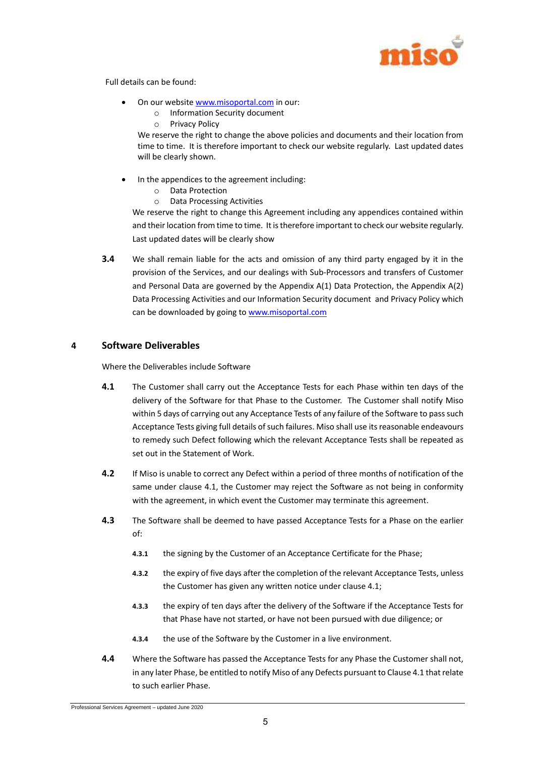

Full details can be found:

- On our website www.misoportal.com in our:
	- o Information Security document
	- o Privacy Policy

We reserve the right to change the above policies and documents and their location from time to time. It is therefore important to check our website regularly. Last updated dates will be clearly shown.

- In the appendices to the agreement including:
	- o Data Protection
	- o Data Processing Activities

We reserve the right to change this Agreement including any appendices contained within and their location from time to time. It is therefore important to check our website regularly. Last updated dates will be clearly show

**3.4** We shall remain liable for the acts and omission of any third party engaged by it in the provision of the Services, and our dealings with Sub-Processors and transfers of Customer and Personal Data are governed by the Appendix A(1) Data Protection, the Appendix A(2) Data Processing Activities and our Information Security document and Privacy Policy which can be downloaded by going to www.misoportal.com

## **4 Software Deliverables**

Where the Deliverables include Software

- <span id="page-4-0"></span>**4.1** The Customer shall carry out the Acceptance Tests for each Phase within ten days of the delivery of the Software for that Phase to the Customer. The Customer shall notify Miso within 5 days of carrying out any Acceptance Tests of any failure of the Software to pass such Acceptance Tests giving full details of such failures. Miso shall use its reasonable endeavours to remedy such Defect following which the relevant Acceptance Tests shall be repeated as set out in the Statement of Work.
- **4.2** If Miso is unable to correct any Defect within a period of three months of notification of the same under clause [4.1,](#page-4-0) the Customer may reject the Software as not being in conformity with the agreement, in which event the Customer may terminate this agreement.
- **4.3** The Software shall be deemed to have passed Acceptance Tests for a Phase on the earlier of:
	- **4.3.1** the signing by the Customer of an Acceptance Certificate for the Phase;
	- **4.3.2** the expiry of five days after the completion of the relevant Acceptance Tests, unless the Customer has given any written notice under clause [4.1;](#page-4-0)
	- **4.3.3** the expiry of ten days after the delivery of the Software if the Acceptance Tests for that Phase have not started, or have not been pursued with due diligence; or
	- **4.3.4** the use of the Software by the Customer in a live environment.
- **4.4** Where the Software has passed the Acceptance Tests for any Phase the Customer shall not, in any later Phase, be entitled to notify Miso of any Defects pursuant to Claus[e 4.1](#page-4-0) that relate to such earlier Phase.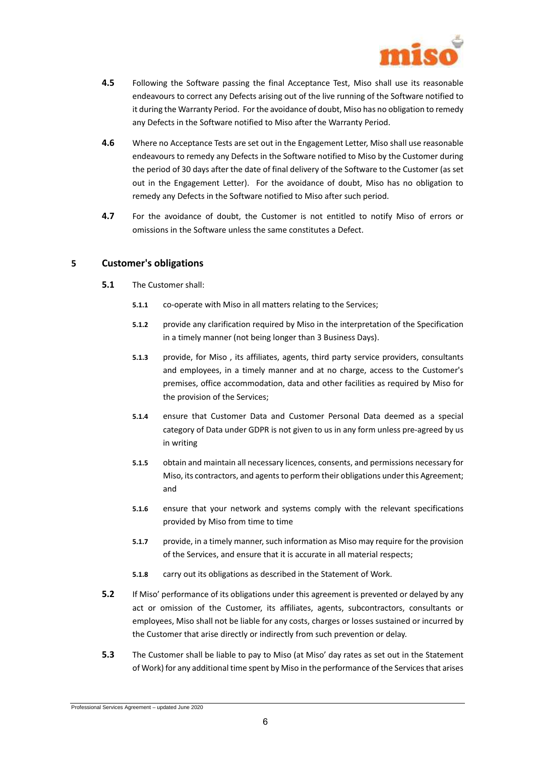

- **4.5** Following the Software passing the final Acceptance Test, Miso shall use its reasonable endeavours to correct any Defects arising out of the live running of the Software notified to it during the Warranty Period. For the avoidance of doubt, Miso has no obligation to remedy any Defects in the Software notified to Miso after the Warranty Period.
- **4.6** Where no Acceptance Tests are set out in the Engagement Letter, Miso shall use reasonable endeavours to remedy any Defects in the Software notified to Miso by the Customer during the period of 30 days after the date of final delivery of the Software to the Customer (as set out in the Engagement Letter). For the avoidance of doubt, Miso has no obligation to remedy any Defects in the Software notified to Miso after such period.
- **4.7** For the avoidance of doubt, the Customer is not entitled to notify Miso of errors or omissions in the Software unless the same constitutes a Defect.

## **5 Customer's obligations**

- **5.1** The Customer shall:
	- **5.1.1** co-operate with Miso in all matters relating to the Services;
	- **5.1.2** provide any clarification required by Miso in the interpretation of the Specification in a timely manner (not being longer than 3 Business Days).
	- **5.1.3** provide, for Miso , its affiliates, agents, third party service providers, consultants and employees, in a timely manner and at no charge, access to the Customer's premises, office accommodation, data and other facilities as required by Miso for the provision of the Services;
	- **5.1.4** ensure that Customer Data and Customer Personal Data deemed as a special category of Data under GDPR is not given to us in any form unless pre-agreed by us in writing
	- **5.1.5** obtain and maintain all necessary licences, consents, and permissions necessary for Miso, its contractors, and agents to perform their obligations under this Agreement; and
	- **5.1.6** ensure that your network and systems comply with the relevant specifications provided by Miso from time to time
	- **5.1.7** provide, in a timely manner, such information as Miso may require for the provision of the Services, and ensure that it is accurate in all material respects;
	- **5.1.8** carry out its obligations as described in the Statement of Work.
- **5.2** If Miso' performance of its obligations under this agreement is prevented or delayed by any act or omission of the Customer, its affiliates, agents, subcontractors, consultants or employees, Miso shall not be liable for any costs, charges or losses sustained or incurred by the Customer that arise directly or indirectly from such prevention or delay.
- **5.3** The Customer shall be liable to pay to Miso (at Miso' day rates as set out in the Statement of Work) for any additional time spent by Miso in the performance of the Services that arises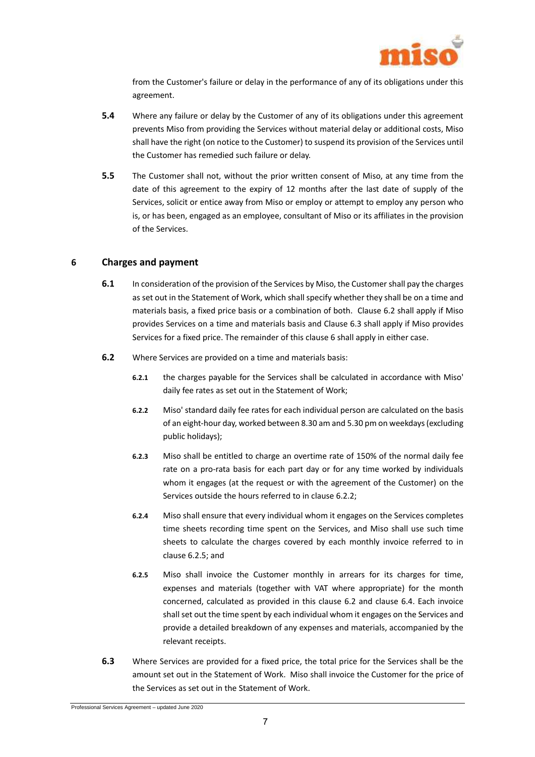

from the Customer's failure or delay in the performance of any of its obligations under this agreement.

- **5.4** Where any failure or delay by the Customer of any of its obligations under this agreement prevents Miso from providing the Services without material delay or additional costs, Miso shall have the right (on notice to the Customer) to suspend its provision of the Services until the Customer has remedied such failure or delay.
- **5.5** The Customer shall not, without the prior written consent of Miso, at any time from the date of this agreement to the expiry of 12 months after the last date of supply of the Services, solicit or entice away from Miso or employ or attempt to employ any person who is, or has been, engaged as an employee, consultant of Miso or its affiliates in the provision of the Services.

## <span id="page-6-2"></span>**6 Charges and payment**

- **6.1** In consideration of the provision of the Services by Miso, the Customer shall pay the charges as set out in the Statement of Work, which shall specify whether they shall be on a time and materials basis, a fixed price basis or a combination of both. Clause [6.2](#page-6-0) shall apply if Miso provides Services on a time and materials basis and Claus[e 6.3](#page-6-1) shall apply if Miso provides Services for a fixed price. The remainder of this clause [6](#page-6-2) shall apply in either case.
- <span id="page-6-3"></span><span id="page-6-0"></span>**6.2** Where Services are provided on a time and materials basis:
	- **6.2.1** the charges payable for the Services shall be calculated in accordance with Miso' daily fee rates as set out in the Statement of Work;
	- **6.2.2** Miso' standard daily fee rates for each individual person are calculated on the basis of an eight-hour day, worked between 8.30 am and 5.30 pm on weekdays (excluding public holidays);
	- **6.2.3** Miso shall be entitled to charge an overtime rate of 150% of the normal daily fee rate on a pro-rata basis for each part day or for any time worked by individuals whom it engages (at the request or with the agreement of the Customer) on the Services outside the hours referred to in clause [6.2.2;](#page-6-3)
	- **6.2.4** Miso shall ensure that every individual whom it engages on the Services completes time sheets recording time spent on the Services, and Miso shall use such time sheets to calculate the charges covered by each monthly invoice referred to in clause [6.2.5;](#page-6-4) and
	- **6.2.5** Miso shall invoice the Customer monthly in arrears for its charges for time, expenses and materials (together with VAT where appropriate) for the month concerned, calculated as provided in this clause [6.2](#page-6-0) and clause [6.4.](#page-7-0) Each invoice shall set out the time spent by each individual whom it engages on the Services and provide a detailed breakdown of any expenses and materials, accompanied by the relevant receipts.
- <span id="page-6-4"></span><span id="page-6-1"></span>**6.3** Where Services are provided for a fixed price, the total price for the Services shall be the amount set out in the Statement of Work. Miso shall invoice the Customer for the price of the Services as set out in the Statement of Work.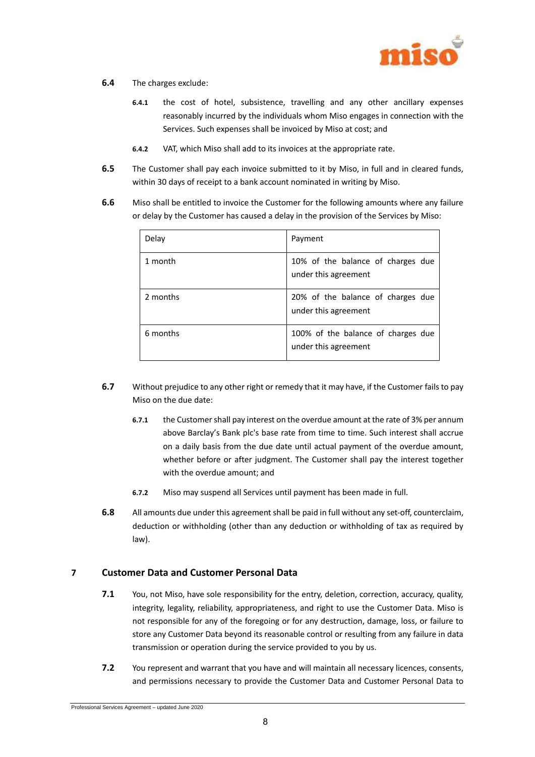

#### <span id="page-7-0"></span>**6.4** The charges exclude:

- **6.4.1** the cost of hotel, subsistence, travelling and any other ancillary expenses reasonably incurred by the individuals whom Miso engages in connection with the Services. Such expenses shall be invoiced by Miso at cost; and
- **6.4.2** VAT, which Miso shall add to its invoices at the appropriate rate.
- **6.5** The Customer shall pay each invoice submitted to it by Miso, in full and in cleared funds, within 30 days of receipt to a bank account nominated in writing by Miso.
- **6.6** Miso shall be entitled to invoice the Customer for the following amounts where any failure or delay by the Customer has caused a delay in the provision of the Services by Miso:

| Delay    | Payment                                                    |
|----------|------------------------------------------------------------|
| 1 month  | 10% of the balance of charges due<br>under this agreement  |
| 2 months | 20% of the balance of charges due<br>under this agreement  |
| 6 months | 100% of the balance of charges due<br>under this agreement |

- **6.7** Without prejudice to any other right or remedy that it may have, if the Customer fails to pay Miso on the due date:
	- **6.7.1** the Customer shall pay interest on the overdue amount at the rate of 3% per annum above Barclay's Bank plc's base rate from time to time. Such interest shall accrue on a daily basis from the due date until actual payment of the overdue amount, whether before or after judgment. The Customer shall pay the interest together with the overdue amount; and
	- **6.7.2** Miso may suspend all Services until payment has been made in full.
- **6.8** All amounts due under this agreement shall be paid in full without any set-off, counterclaim, deduction or withholding (other than any deduction or withholding of tax as required by law).

## **7 Customer Data and Customer Personal Data**

- **7.1** You, not Miso, have sole responsibility for the entry, deletion, correction, accuracy, quality, integrity, legality, reliability, appropriateness, and right to use the Customer Data. Miso is not responsible for any of the foregoing or for any destruction, damage, loss, or failure to store any Customer Data beyond its reasonable control or resulting from any failure in data transmission or operation during the service provided to you by us.
- **7.2** You represent and warrant that you have and will maintain all necessary licences, consents, and permissions necessary to provide the Customer Data and Customer Personal Data to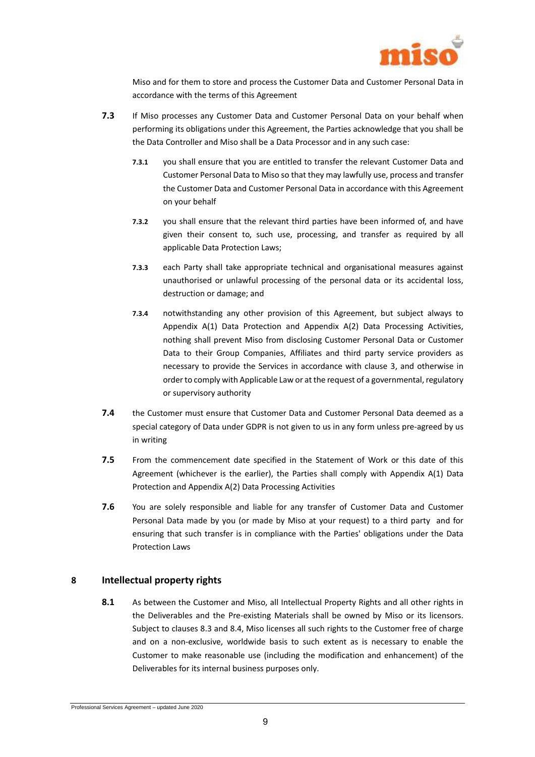

Miso and for them to store and process the Customer Data and Customer Personal Data in accordance with the terms of this Agreement

- **7.3** If Miso processes any Customer Data and Customer Personal Data on your behalf when performing its obligations under this Agreement, the Parties acknowledge that you shall be the Data Controller and Miso shall be a Data Processor and in any such case:
	- **7.3.1** you shall ensure that you are entitled to transfer the relevant Customer Data and Customer Personal Data to Miso so that they may lawfully use, process and transfer the Customer Data and Customer Personal Data in accordance with this Agreement on your behalf
	- **7.3.2** you shall ensure that the relevant third parties have been informed of, and have given their consent to, such use, processing, and transfer as required by all applicable Data Protection Laws;
	- **7.3.3** each Party shall take appropriate technical and organisational measures against unauthorised or unlawful processing of the personal data or its accidental loss, destruction or damage; and
	- **7.3.4** notwithstanding any other provision of this Agreement, but subject always to Appendix A(1) Data Protection and Appendix A(2) Data Processing Activities, nothing shall prevent Miso from disclosing Customer Personal Data or Customer Data to their Group Companies, Affiliates and third party service providers as necessary to provide the Services in accordance with clause 3, and otherwise in order to comply with Applicable Law or at the request of a governmental, regulatory or supervisory authority
- **7.4** the Customer must ensure that Customer Data and Customer Personal Data deemed as a special category of Data under GDPR is not given to us in any form unless pre-agreed by us in writing
- **7.5** From the commencement date specified in the Statement of Work or this date of this Agreement (whichever is the earlier), the Parties shall comply with Appendix A(1) Data Protection and Appendix A(2) Data Processing Activities
- **7.6** You are solely responsible and liable for any transfer of Customer Data and Customer Personal Data made by you (or made by Miso at your request) to a third party and for ensuring that such transfer is in compliance with the Parties' obligations under the Data Protection Laws

## <span id="page-8-0"></span>**8 Intellectual property rights**

**8.1** As between the Customer and Miso, all Intellectual Property Rights and all other rights in the Deliverables and the Pre-existing Materials shall be owned by Miso or its licensors. Subject to clauses [8.3](#page-9-0) and [8.4,](#page-9-1) Miso licenses all such rights to the Customer free of charge and on a non-exclusive, worldwide basis to such extent as is necessary to enable the Customer to make reasonable use (including the modification and enhancement) of the Deliverables for its internal business purposes only.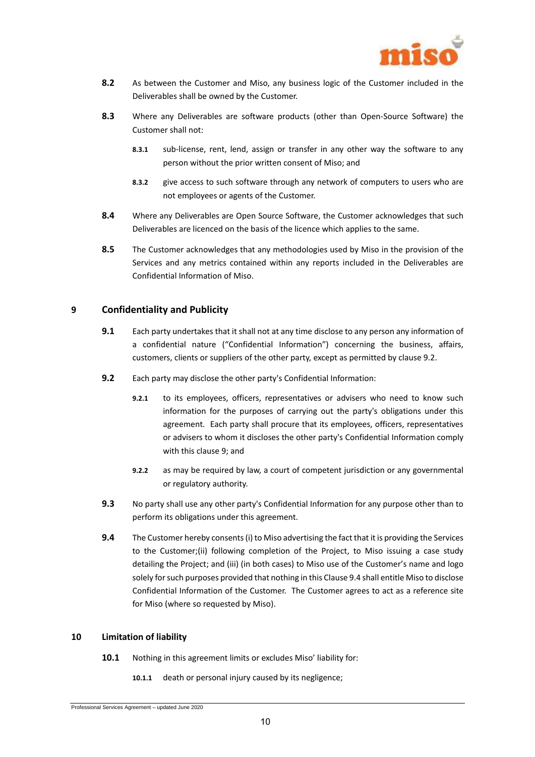

- **8.2** As between the Customer and Miso, any business logic of the Customer included in the Deliverables shall be owned by the Customer.
- <span id="page-9-0"></span>**8.3** Where any Deliverables are software products (other than Open-Source Software) the Customer shall not:
	- **8.3.1** sub-license, rent, lend, assign or transfer in any other way the software to any person without the prior written consent of Miso; and
	- **8.3.2** give access to such software through any network of computers to users who are not employees or agents of the Customer.
- <span id="page-9-1"></span>**8.4** Where any Deliverables are Open Source Software, the Customer acknowledges that such Deliverables are licenced on the basis of the licence which applies to the same.
- **8.5** The Customer acknowledges that any methodologies used by Miso in the provision of the Services and any metrics contained within any reports included in the Deliverables are Confidential Information of Miso.

## <span id="page-9-3"></span>**9 Confidentiality and Publicity**

- **9.1** Each party undertakes that it shall not at any time disclose to any person any information of a confidential nature ("Confidential Information") concerning the business, affairs, customers, clients or suppliers of the other party, except as permitted by claus[e 9.2.](#page-9-2)
- <span id="page-9-2"></span>**9.2** Each party may disclose the other party's Confidential Information:
	- **9.2.1** to its employees, officers, representatives or advisers who need to know such information for the purposes of carrying out the party's obligations under this agreement. Each party shall procure that its employees, officers, representatives or advisers to whom it discloses the other party's Confidential Information comply with this clause [9;](#page-9-3) and
	- **9.2.2** as may be required by law, a court of competent jurisdiction or any governmental or regulatory authority.
- **9.3** No party shall use any other party's Confidential Information for any purpose other than to perform its obligations under this agreement.
- <span id="page-9-4"></span>**9.4** The Customer hereby consents (i) to Miso advertising the fact that it is providing the Services to the Customer;(ii) following completion of the Project, to Miso issuing a case study detailing the Project; and (iii) (in both cases) to Miso use of the Customer's name and logo solely for such purposes provided that nothing in this Claus[e 9.4](#page-9-4) shall entitle Miso to disclose Confidential Information of the Customer. The Customer agrees to act as a reference site for Miso (where so requested by Miso).

#### <span id="page-9-6"></span><span id="page-9-5"></span>**10 Limitation of liability**

- **10.1** Nothing in this agreement limits or excludes Miso' liability for:
	- **10.1.1** death or personal injury caused by its negligence;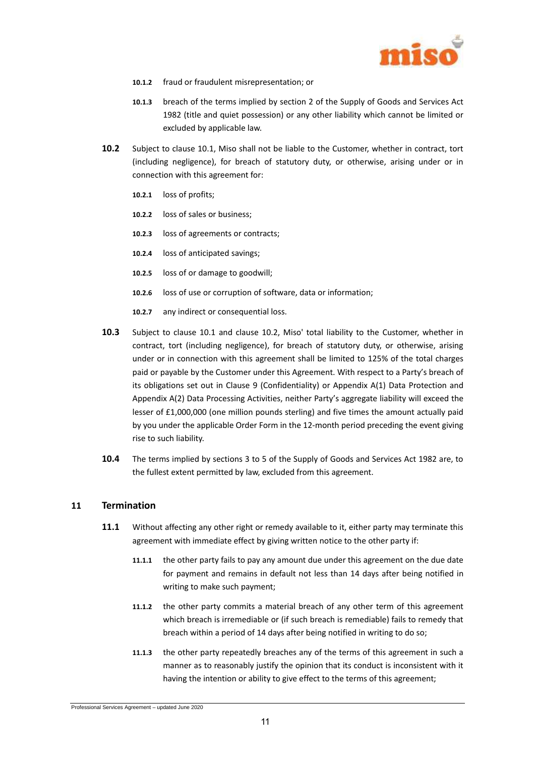

- **10.1.2** fraud or fraudulent misrepresentation; or
- **10.1.3** breach of the terms implied by section 2 of the Supply of Goods and Services Act 1982 (title and quiet possession) or any other liability which cannot be limited or excluded by applicable law.
- <span id="page-10-0"></span>**10.2** Subject to clause [10.1,](#page-9-5) Miso shall not be liable to the Customer, whether in contract, tort (including negligence), for breach of statutory duty, or otherwise, arising under or in connection with this agreement for:
	- **10.2.1** loss of profits;
	- **10.2.2** loss of sales or business;
	- **10.2.3** loss of agreements or contracts;
	- **10.2.4** loss of anticipated savings;
	- **10.2.5** loss of or damage to goodwill;
	- **10.2.6** loss of use or corruption of software, data or information;
	- **10.2.7** any indirect or consequential loss.
- **10.3** Subject to clause [10.1](#page-9-5) and clause [10.2,](#page-10-0) Miso' total liability to the Customer, whether in contract, tort (including negligence), for breach of statutory duty, or otherwise, arising under or in connection with this agreement shall be limited to 125% of the total charges paid or payable by the Customer under this Agreement. With respect to a Party's breach of its obligations set out in Clause 9 (Confidentiality) or Appendix A(1) Data Protection and Appendix A(2) Data Processing Activities, neither Party's aggregate liability will exceed the lesser of £1,000,000 (one million pounds sterling) and five times the amount actually paid by you under the applicable Order Form in the 12-month period preceding the event giving rise to such liability.
- **10.4** The terms implied by sections 3 to 5 of the Supply of Goods and Services Act 1982 are, to the fullest extent permitted by law, excluded from this agreement.

## **11 Termination**

- **11.1** Without affecting any other right or remedy available to it, either party may terminate this agreement with immediate effect by giving written notice to the other party if:
	- **11.1.1** the other party fails to pay any amount due under this agreement on the due date for payment and remains in default not less than 14 days after being notified in writing to make such payment;
	- **11.1.2** the other party commits a material breach of any other term of this agreement which breach is irremediable or (if such breach is remediable) fails to remedy that breach within a period of 14 days after being notified in writing to do so;
	- **11.1.3** the other party repeatedly breaches any of the terms of this agreement in such a manner as to reasonably justify the opinion that its conduct is inconsistent with it having the intention or ability to give effect to the terms of this agreement;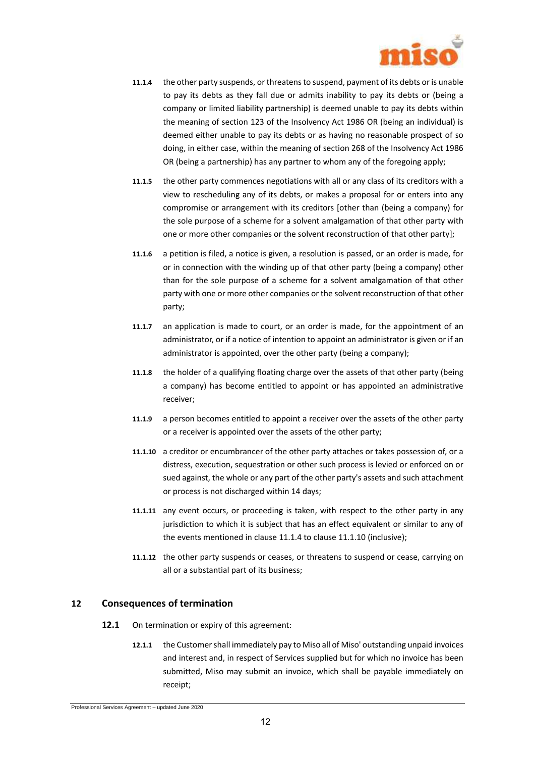

- <span id="page-11-0"></span>**11.1.4** the other party suspends, or threatens to suspend, payment of its debts or is unable to pay its debts as they fall due or admits inability to pay its debts or (being a company or limited liability partnership) is deemed unable to pay its debts within the meaning of section 123 of the Insolvency Act 1986 OR (being an individual) is deemed either unable to pay its debts or as having no reasonable prospect of so doing, in either case, within the meaning of section 268 of the Insolvency Act 1986 OR (being a partnership) has any partner to whom any of the foregoing apply;
- **11.1.5** the other party commences negotiations with all or any class of its creditors with a view to rescheduling any of its debts, or makes a proposal for or enters into any compromise or arrangement with its creditors [other than (being a company) for the sole purpose of a scheme for a solvent amalgamation of that other party with one or more other companies or the solvent reconstruction of that other party];
- **11.1.6** a petition is filed, a notice is given, a resolution is passed, or an order is made, for or in connection with the winding up of that other party (being a company) other than for the sole purpose of a scheme for a solvent amalgamation of that other party with one or more other companies or the solvent reconstruction of that other party;
- **11.1.7** an application is made to court, or an order is made, for the appointment of an administrator, or if a notice of intention to appoint an administrator is given or if an administrator is appointed, over the other party (being a company);
- **11.1.8** the holder of a qualifying floating charge over the assets of that other party (being a company) has become entitled to appoint or has appointed an administrative receiver;
- **11.1.9** a person becomes entitled to appoint a receiver over the assets of the other party or a receiver is appointed over the assets of the other party;
- <span id="page-11-1"></span>**11.1.10** a creditor or encumbrancer of the other party attaches or takes possession of, or a distress, execution, sequestration or other such process is levied or enforced on or sued against, the whole or any part of the other party's assets and such attachment or process is not discharged within 14 days;
- **11.1.11** any event occurs, or proceeding is taken, with respect to the other party in any jurisdiction to which it is subject that has an effect equivalent or similar to any of the events mentioned in claus[e 11.1.4](#page-11-0) to claus[e 11.1.10](#page-11-1) (inclusive);
- **11.1.12** the other party suspends or ceases, or threatens to suspend or cease, carrying on all or a substantial part of its business;

## <span id="page-11-2"></span>**12 Consequences of termination**

- **12.1** On termination or expiry of this agreement:
	- **12.1.1** the Customer shall immediately pay to Miso all of Miso' outstanding unpaid invoices and interest and, in respect of Services supplied but for which no invoice has been submitted, Miso may submit an invoice, which shall be payable immediately on receipt;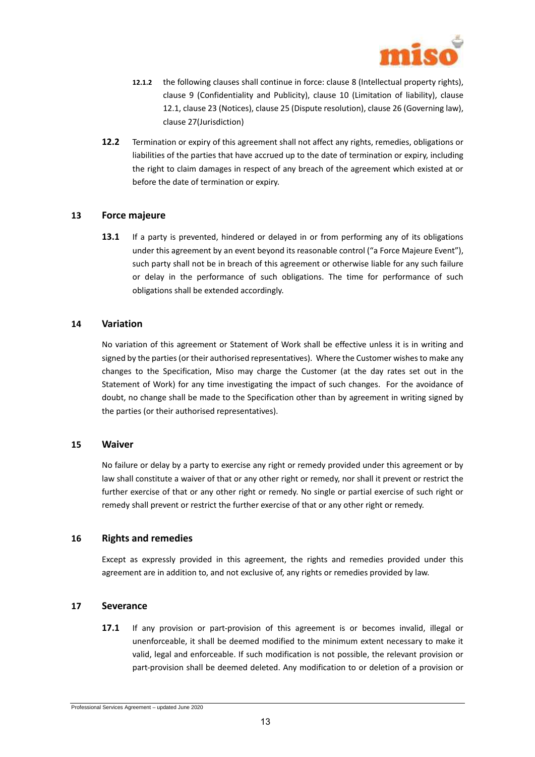

- **12.1.2** the following clauses shall continue in force: claus[e 8](#page-8-0) (Intellectual property rights), clause [9](#page-9-3) (Confidentiality and Publicity), clause [10](#page-9-6) (Limitation of liability), clause [12.1,](#page-11-2) claus[e 23](#page-14-0) (Notices), claus[e 25](#page-14-1) (Dispute resolution), clause [26](#page-15-0) (Governing law), clause [27\(](#page-15-1)Jurisdiction)
- **12.2** Termination or expiry of this agreement shall not affect any rights, remedies, obligations or liabilities of the parties that have accrued up to the date of termination or expiry, including the right to claim damages in respect of any breach of the agreement which existed at or before the date of termination or expiry.

## **13 Force majeure**

**13.1** If a party is prevented, hindered or delayed in or from performing any of its obligations under this agreement by an event beyond its reasonable control ("a Force Majeure Event"), such party shall not be in breach of this agreement or otherwise liable for any such failure or delay in the performance of such obligations. The time for performance of such obligations shall be extended accordingly.

#### **14 Variation**

No variation of this agreement or Statement of Work shall be effective unless it is in writing and signed by the parties (or their authorised representatives). Where the Customer wishes to make any changes to the Specification, Miso may charge the Customer (at the day rates set out in the Statement of Work) for any time investigating the impact of such changes. For the avoidance of doubt, no change shall be made to the Specification other than by agreement in writing signed by the parties (or their authorised representatives).

#### **15 Waiver**

No failure or delay by a party to exercise any right or remedy provided under this agreement or by law shall constitute a waiver of that or any other right or remedy, nor shall it prevent or restrict the further exercise of that or any other right or remedy. No single or partial exercise of such right or remedy shall prevent or restrict the further exercise of that or any other right or remedy.

## **16 Rights and remedies**

Except as expressly provided in this agreement, the rights and remedies provided under this agreement are in addition to, and not exclusive of, any rights or remedies provided by law.

## **17 Severance**

**17.1** If any provision or part-provision of this agreement is or becomes invalid, illegal or unenforceable, it shall be deemed modified to the minimum extent necessary to make it valid, legal and enforceable. If such modification is not possible, the relevant provision or part-provision shall be deemed deleted. Any modification to or deletion of a provision or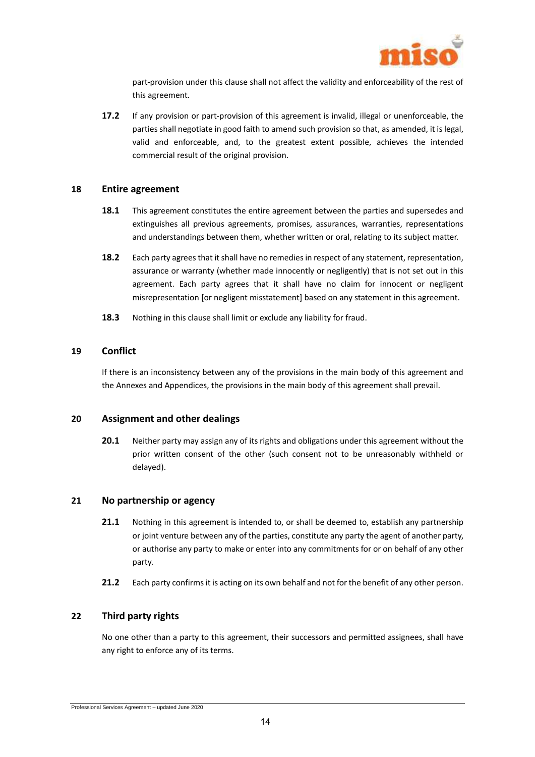

part-provision under this clause shall not affect the validity and enforceability of the rest of this agreement.

**17.2** If any provision or part-provision of this agreement is invalid, illegal or unenforceable, the parties shall negotiate in good faith to amend such provision so that, as amended, it is legal, valid and enforceable, and, to the greatest extent possible, achieves the intended commercial result of the original provision.

#### **18 Entire agreement**

- **18.1** This agreement constitutes the entire agreement between the parties and supersedes and extinguishes all previous agreements, promises, assurances, warranties, representations and understandings between them, whether written or oral, relating to its subject matter.
- 18.2 Each party agrees that it shall have no remedies in respect of any statement, representation, assurance or warranty (whether made innocently or negligently) that is not set out in this agreement. Each party agrees that it shall have no claim for innocent or negligent misrepresentation [or negligent misstatement] based on any statement in this agreement.
- **18.3** Nothing in this clause shall limit or exclude any liability for fraud.

## **19 Conflict**

If there is an inconsistency between any of the provisions in the main body of this agreement and the Annexes and Appendices, the provisions in the main body of this agreement shall prevail.

## **20 Assignment and other dealings**

**20.1** Neither party may assign any of its rights and obligations under this agreement without the prior written consent of the other (such consent not to be unreasonably withheld or delayed).

## **21 No partnership or agency**

- **21.1** Nothing in this agreement is intended to, or shall be deemed to, establish any partnership or joint venture between any of the parties, constitute any party the agent of another party, or authorise any party to make or enter into any commitments for or on behalf of any other party.
- **21.2** Each party confirms it is acting on its own behalf and not for the benefit of any other person.

## **22 Third party rights**

No one other than a party to this agreement, their successors and permitted assignees, shall have any right to enforce any of its terms.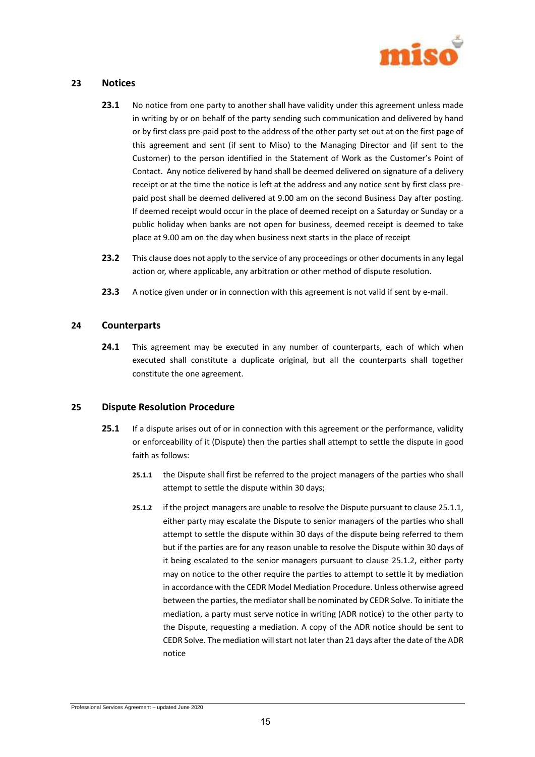

## <span id="page-14-0"></span>**23 Notices**

- **23.1** No notice from one party to another shall have validity under this agreement unless made in writing by or on behalf of the party sending such communication and delivered by hand or by first class pre-paid post to the address of the other party set out at on the first page of this agreement and sent (if sent to Miso) to the Managing Director and (if sent to the Customer) to the person identified in the Statement of Work as the Customer's Point of Contact. Any notice delivered by hand shall be deemed delivered on signature of a delivery receipt or at the time the notice is left at the address and any notice sent by first class prepaid post shall be deemed delivered at 9.00 am on the second Business Day after posting. If deemed receipt would occur in the place of deemed receipt on a Saturday or Sunday or a public holiday when banks are not open for business, deemed receipt is deemed to take place at 9.00 am on the day when business next starts in the place of receipt
- **23.2** This clause does not apply to the service of any proceedings or other documents in any legal action or, where applicable, any arbitration or other method of dispute resolution.
- **23.3** A notice given under or in connection with this agreement is not valid if sent by e-mail.

## **24 Counterparts**

**24.1** This agreement may be executed in any number of counterparts, each of which when executed shall constitute a duplicate original, but all the counterparts shall together constitute the one agreement.

## <span id="page-14-1"></span>**25 Dispute Resolution Procedure**

- <span id="page-14-3"></span><span id="page-14-2"></span>**25.1** If a dispute arises out of or in connection with this agreement or the performance, validity or enforceability of it (Dispute) then the parties shall attempt to settle the dispute in good faith as follows:
	- **25.1.1** the Dispute shall first be referred to the project managers of the parties who shall attempt to settle the dispute within 30 days;
	- **25.1.2** if the project managers are unable to resolve the Dispute pursuant to claus[e 25.1.1,](#page-14-2)  either party may escalate the Dispute to senior managers of the parties who shall attempt to settle the dispute within 30 days of the dispute being referred to them but if the parties are for any reason unable to resolve the Dispute within 30 days of it being escalated to the senior managers pursuant to clause [25.1.2,](#page-14-3) either party may on notice to the other require the parties to attempt to settle it by mediation in accordance with the CEDR Model Mediation Procedure. Unless otherwise agreed between the parties, the mediator shall be nominated by CEDR Solve. To initiate the mediation, a party must serve notice in writing (ADR notice) to the other party to the Dispute, requesting a mediation. A copy of the ADR notice should be sent to CEDR Solve. The mediation will start not later than 21 days after the date of the ADR notice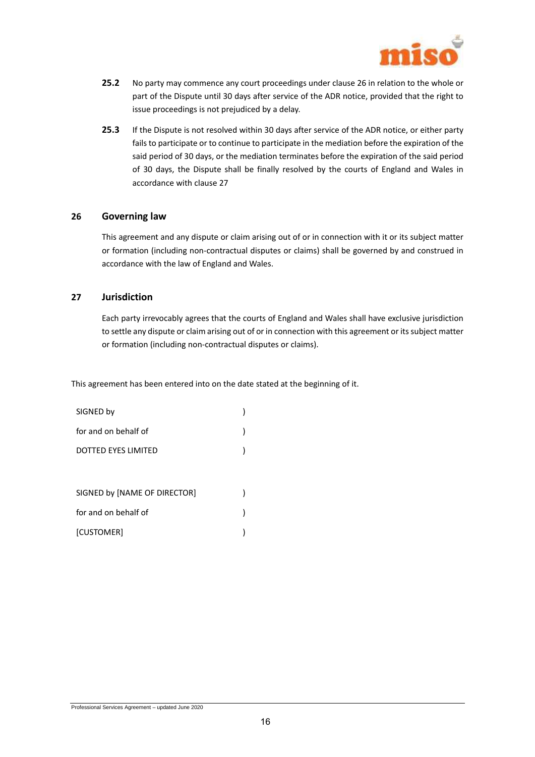

- **25.2** No party may commence any court proceedings under clause 26 in relation to the whole or part of the Dispute until 30 days after service of the ADR notice, provided that the right to issue proceedings is not prejudiced by a delay.
- **25.3** If the Dispute is not resolved within 30 days after service of the ADR notice, or either party fails to participate or to continue to participate in the mediation before the expiration of the said period of 30 days, or the mediation terminates before the expiration of the said period of 30 days, the Dispute shall be finally resolved by the courts of England and Wales in accordance with clause 27

#### <span id="page-15-0"></span>**26 Governing law**

This agreement and any dispute or claim arising out of or in connection with it or its subject matter or formation (including non-contractual disputes or claims) shall be governed by and construed in accordance with the law of England and Wales.

## <span id="page-15-1"></span>**27 Jurisdiction**

Each party irrevocably agrees that the courts of England and Wales shall have exclusive jurisdiction to settle any dispute or claim arising out of or in connection with this agreement or its subject matter or formation (including non-contractual disputes or claims).

This agreement has been entered into on the date stated at the beginning of it.

| SIGNED by                    |  |
|------------------------------|--|
| for and on behalf of         |  |
| <b>DOTTED EYES LIMITED</b>   |  |
|                              |  |
| SIGNED by [NAME OF DIRECTOR] |  |
| for and on behalf of         |  |
| [CUSTOMER]                   |  |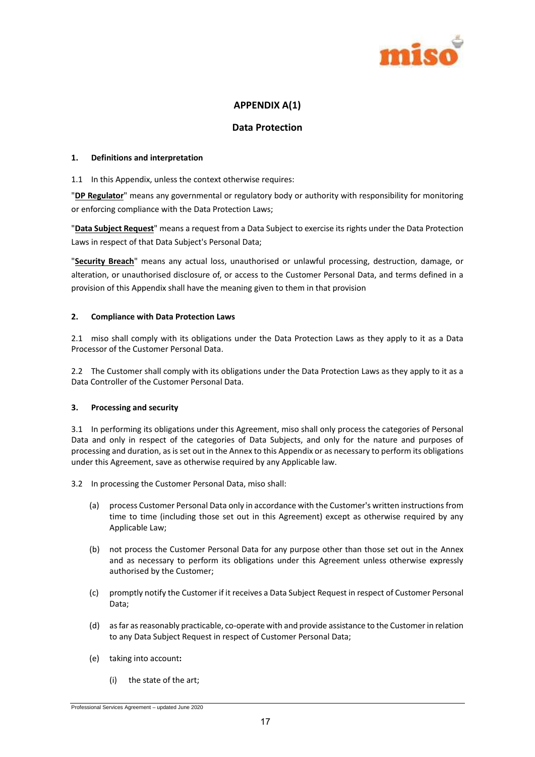

## **APPENDIX A(1)**

## **Data Protection**

#### **1. Definitions and interpretation**

#### 1.1 In this Appendix, unless the context otherwise requires:

"**DP Regulator**" means any governmental or regulatory body or authority with responsibility for monitoring or enforcing compliance with the Data Protection Laws;

"**Data Subject Request**" means a request from a Data Subject to exercise its rights under the Data Protection Laws in respect of that Data Subject's Personal Data;

"**Security Breach**" means any actual loss, unauthorised or unlawful processing, destruction, damage, or alteration, or unauthorised disclosure of, or access to the Customer Personal Data, and terms defined in a provision of this Appendix shall have the meaning given to them in that provision

#### **2. Compliance with Data Protection Laws**

2.1 miso shall comply with its obligations under the Data Protection Laws as they apply to it as a Data Processor of the Customer Personal Data.

2.2 The Customer shall comply with its obligations under the Data Protection Laws as they apply to it as a Data Controller of the Customer Personal Data.

## **3. Processing and security**

3.1 In performing its obligations under this Agreement, miso shall only process the categories of Personal Data and only in respect of the categories of Data Subjects, and only for the nature and purposes of processing and duration, as is set out in the Annex to this Appendix or as necessary to perform its obligations under this Agreement, save as otherwise required by any Applicable law.

3.2 In processing the Customer Personal Data, miso shall:

- (a) process Customer Personal Data only in accordance with the Customer's written instructions from time to time (including those set out in this Agreement) except as otherwise required by any Applicable Law;
- (b) not process the Customer Personal Data for any purpose other than those set out in the Annex and as necessary to perform its obligations under this Agreement unless otherwise expressly authorised by the Customer;
- (c) promptly notify the Customer if it receives a Data Subject Request in respect of Customer Personal Data;
- (d) as far as reasonably practicable, co-operate with and provide assistance to the Customer in relation to any Data Subject Request in respect of Customer Personal Data;
- (e) taking into account**:**
	- (i) the state of the art;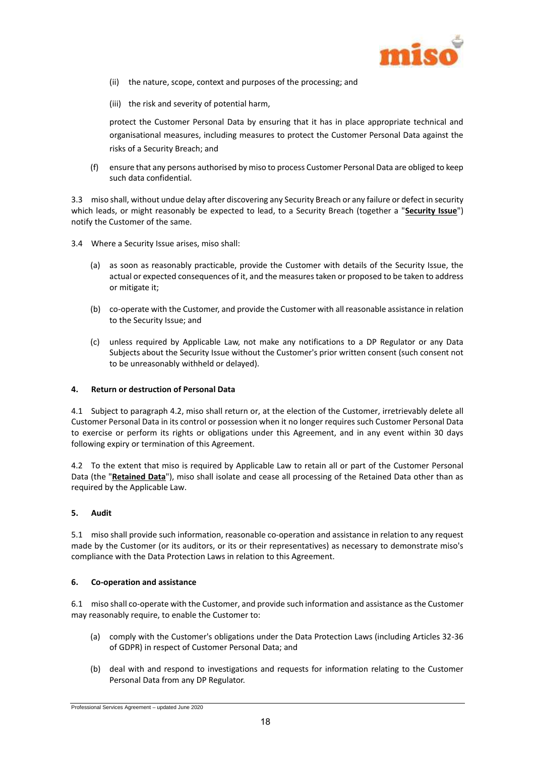

- (ii) the nature, scope, context and purposes of the processing; and
- (iii) the risk and severity of potential harm,

protect the Customer Personal Data by ensuring that it has in place appropriate technical and organisational measures, including measures to protect the Customer Personal Data against the risks of a Security Breach; and

(f) ensure that any persons authorised by miso to process Customer Personal Data are obliged to keep such data confidential.

3.3 miso shall, without undue delay after discovering any Security Breach or any failure or defect in security which leads, or might reasonably be expected to lead, to a Security Breach (together a "**Security Issue**") notify the Customer of the same.

- 3.4 Where a Security Issue arises, miso shall:
	- (a) as soon as reasonably practicable, provide the Customer with details of the Security Issue, the actual or expected consequences of it, and the measures taken or proposed to be taken to address or mitigate it;
	- (b) co-operate with the Customer, and provide the Customer with all reasonable assistance in relation to the Security Issue; and
	- (c) unless required by Applicable Law, not make any notifications to a DP Regulator or any Data Subjects about the Security Issue without the Customer's prior written consent (such consent not to be unreasonably withheld or delayed).

#### **4. Return or destruction of Personal Data**

4.1 Subject to paragraph [4.2,](#page-17-0) miso shall return or, at the election of the Customer, irretrievably delete all Customer Personal Data in its control or possession when it no longer requires such Customer Personal Data to exercise or perform its rights or obligations under this Agreement, and in any event within 30 days following expiry or termination of this Agreement.

<span id="page-17-0"></span>4.2 To the extent that miso is required by Applicable Law to retain all or part of the Customer Personal Data (the "**Retained Data**"), miso shall isolate and cease all processing of the Retained Data other than as required by the Applicable Law.

## **5. Audit**

5.1 miso shall provide such information, reasonable co-operation and assistance in relation to any request made by the Customer (or its auditors, or its or their representatives) as necessary to demonstrate miso's compliance with the Data Protection Laws in relation to this Agreement.

#### **6. Co-operation and assistance**

6.1 miso shall co-operate with the Customer, and provide such information and assistance as the Customer may reasonably require, to enable the Customer to:

- (a) comply with the Customer's obligations under the Data Protection Laws (including Articles 32-36 of GDPR) in respect of Customer Personal Data; and
- (b) deal with and respond to investigations and requests for information relating to the Customer Personal Data from any DP Regulator.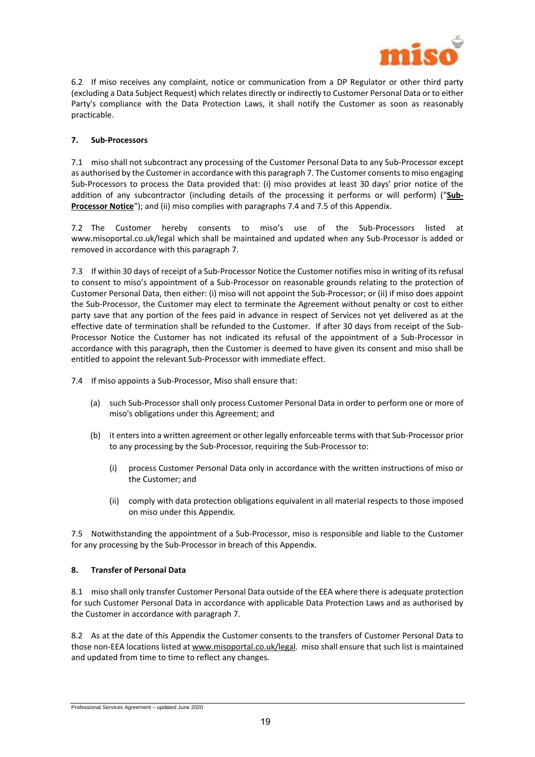

6.2 If miso receives any complaint, notice or communication from a DP Regulator or other third party (excluding a Data Subject Request) which relates directly or indirectly to Customer Personal Data or to either Party's compliance with the Data Protection Laws, it shall notify the Customer as soon as reasonably practicable.

#### <span id="page-18-0"></span>**7. Sub-Processors**

7.1 miso shall not subcontract any processing of the Customer Personal Data to any Sub-Processor except as authorised by the Customer in accordance with this paragraph [7.](#page-18-0) The Customer consents to miso engaging Sub-Processors to process the Data provided that: (i) miso provides at least 30 days' prior notice of the addition of any subcontractor (including details of the processing it performs or will perform) ("**Sub-Processor Notice**"); and (ii) miso complies with paragraphs [7.4](#page-18-1) an[d 7.5](#page-18-2) of this Appendix.

7.2 The Customer hereby consents to miso's use of the Sub-Processors listed at www.misoportal.co.uk/legal which shall be maintained and updated when any Sub-Processor is added or removed in accordance with this paragraph [7.](#page-18-0)

7.3 If within 30 days of receipt of a Sub-Processor Notice the Customer notifies miso in writing of its refusal to consent to miso's appointment of a Sub-Processor on reasonable grounds relating to the protection of Customer Personal Data, then either: (i) miso will not appoint the Sub-Processor; or (ii) if miso does appoint the Sub-Processor, the Customer may elect to terminate the Agreement without penalty or cost to either party save that any portion of the fees paid in advance in respect of Services not yet delivered as at the effective date of termination shall be refunded to the Customer. If after 30 days from receipt of the Sub-Processor Notice the Customer has not indicated its refusal of the appointment of a Sub-Processor in accordance with this paragraph, then the Customer is deemed to have given its consent and miso shall be entitled to appoint the relevant Sub-Processor with immediate effect.

<span id="page-18-1"></span>7.4 If miso appoints a Sub-Processor, Miso shall ensure that:

- (a) such Sub-Processor shall only process Customer Personal Data in order to perform one or more of miso's obligations under this Agreement; and
- (b) it enters into a written agreement or other legally enforceable terms with that Sub-Processor prior to any processing by the Sub-Processor, requiring the Sub-Processor to:
	- (i) process Customer Personal Data only in accordance with the written instructions of miso or the Customer; and
	- (ii) comply with data protection obligations equivalent in all material respects to those imposed on miso under this Appendix.

<span id="page-18-2"></span>7.5 Notwithstanding the appointment of a Sub-Processor, miso is responsible and liable to the Customer for any processing by the Sub-Processor in breach of this Appendix.

#### **8. Transfer of Personal Data**

8.1 miso shall only transfer Customer Personal Data outside of the EEA where there is adequate protection for such Customer Personal Data in accordance with applicable Data Protection Laws and as authorised by the Customer in accordance with paragraph 7.

8.2 As at the date of this Appendix the Customer consents to the transfers of Customer Personal Data to those non-EEA locations listed at [www.misoportal.co.uk/legal.](http://www.misoportal.co.uk/legal) miso shall ensure that such list is maintained and updated from time to time to reflect any changes.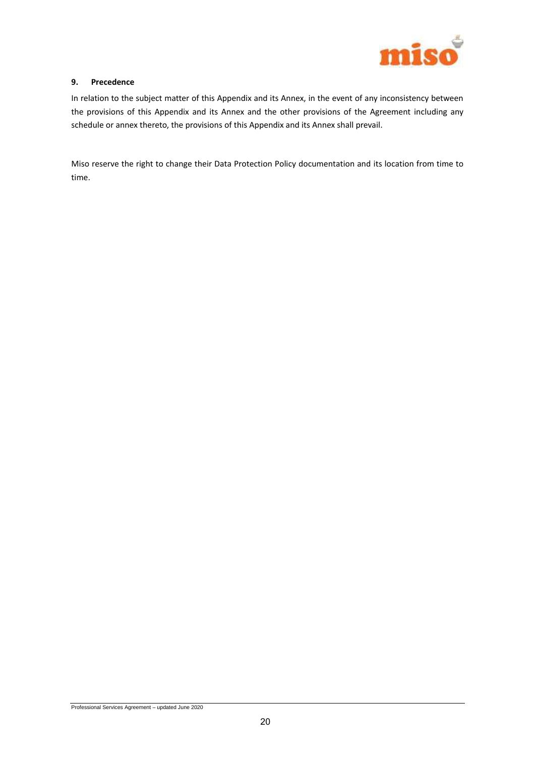

#### **9. Precedence**

In relation to the subject matter of this Appendix and its Annex, in the event of any inconsistency between the provisions of this Appendix and its Annex and the other provisions of the Agreement including any schedule or annex thereto, the provisions of this Appendix and its Annex shall prevail.

Miso reserve the right to change their Data Protection Policy documentation and its location from time to time.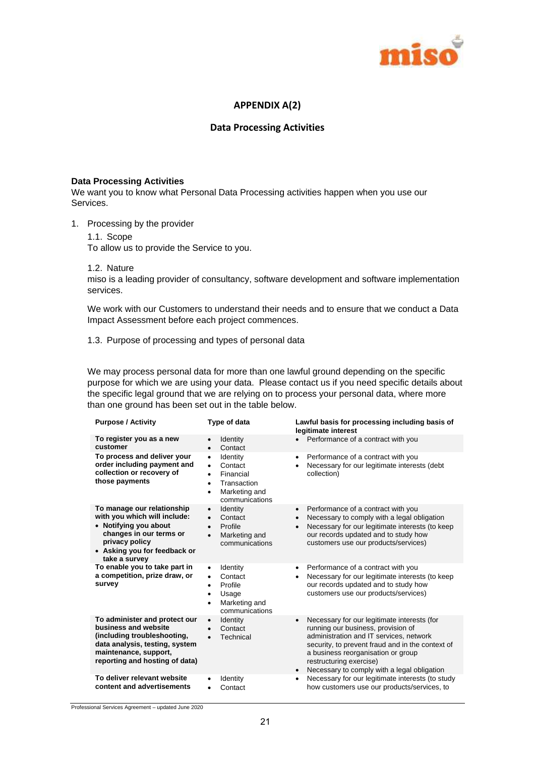

## **APPENDIX A(2)**

#### **Data Processing Activities**

#### **Data Processing Activities**

We want you to know what Personal Data Processing activities happen when you use our Services.

- 1. Processing by the provider
	- 1.1. Scope

To allow us to provide the Service to you.

1.2. Nature

miso is a leading provider of consultancy, software development and software implementation services.

We work with our Customers to understand their needs and to ensure that we conduct a Data Impact Assessment before each project commences.

1.3. Purpose of processing and types of personal data

We may process personal data for more than one lawful ground depending on the specific purpose for which we are using your data. Please contact us if you need specific details about the specific legal ground that we are relying on to process your personal data, where more than one ground has been set out in the table below.

| <b>Purpose / Activity</b>                                                                                                                                                         | Type of data                                                                                                                                | Lawful basis for processing including basis of<br>legitimate interest                                                                                                                                                                                                                                                      |
|-----------------------------------------------------------------------------------------------------------------------------------------------------------------------------------|---------------------------------------------------------------------------------------------------------------------------------------------|----------------------------------------------------------------------------------------------------------------------------------------------------------------------------------------------------------------------------------------------------------------------------------------------------------------------------|
| To register you as a new<br>customer                                                                                                                                              | <b>Identity</b><br>Contact<br>$\bullet$                                                                                                     | Performance of a contract with you                                                                                                                                                                                                                                                                                         |
| To process and deliver your<br>order including payment and<br>collection or recovery of<br>those payments                                                                         | Identity<br>$\bullet$<br>Contact<br>$\bullet$<br>Financial<br>$\bullet$<br>Transaction<br>$\bullet$<br>Marketing and<br>٠<br>communications | Performance of a contract with you<br>$\bullet$<br>Necessary for our legitimate interests (debt<br>collection)                                                                                                                                                                                                             |
| To manage our relationship<br>with you which will include:<br>• Notifying you about<br>changes in our terms or<br>privacy policy<br>• Asking you for feedback or<br>take a survey | Identity<br>$\bullet$<br>Contact<br>$\bullet$<br>Profile<br>Marketing and<br>$\bullet$<br>communications                                    | Performance of a contract with you<br>$\bullet$<br>Necessary to comply with a legal obligation<br>$\bullet$<br>Necessary for our legitimate interests (to keep<br>$\bullet$<br>our records updated and to study how<br>customers use our products/services)                                                                |
| To enable you to take part in<br>a competition, prize draw, or<br>survey                                                                                                          | Identity<br>$\bullet$<br>Contact<br>$\bullet$<br>Profile<br>$\bullet$<br>Usage<br>Marketing and<br>٠<br>communications                      | Performance of a contract with you<br>$\bullet$<br>Necessary for our legitimate interests (to keep<br>٠<br>our records updated and to study how<br>customers use our products/services)                                                                                                                                    |
| To administer and protect our<br>business and website<br>(including troubleshooting,<br>data analysis, testing, system<br>maintenance, support,<br>reporting and hosting of data) | Identity<br>$\bullet$<br>Contact<br>Technical<br>$\bullet$                                                                                  | Necessary for our legitimate interests (for<br>$\bullet$<br>running our business, provision of<br>administration and IT services, network<br>security, to prevent fraud and in the context of<br>a business reorganisation or group<br>restructuring exercise)<br>Necessary to comply with a legal obligation<br>$\bullet$ |
| To deliver relevant website<br>content and advertisements                                                                                                                         | Identity<br>Contact                                                                                                                         | Necessary for our legitimate interests (to study<br>$\bullet$<br>how customers use our products/services, to                                                                                                                                                                                                               |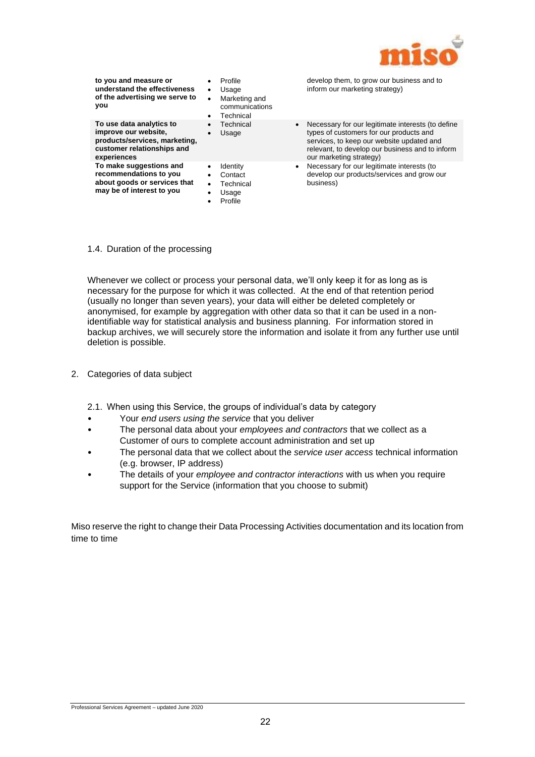

| to you and measure or<br>understand the effectiveness<br>of the advertising we serve to<br>you                                 | Profile<br>Usage<br>$\bullet$<br>Marketing and<br>$\bullet$<br>communications<br>Technical<br>٠ | develop them, to grow our business and to<br>inform our marketing strategy)                                                                                                                                                          |
|--------------------------------------------------------------------------------------------------------------------------------|-------------------------------------------------------------------------------------------------|--------------------------------------------------------------------------------------------------------------------------------------------------------------------------------------------------------------------------------------|
| To use data analytics to<br>improve our website.<br>products/services, marketing,<br>customer relationships and<br>experiences | Technical<br>$\bullet$<br>Usage                                                                 | Necessary for our legitimate interests (to define<br>$\bullet$<br>types of customers for our products and<br>services, to keep our website updated and<br>relevant, to develop our business and to inform<br>our marketing strategy) |
| To make suggestions and<br>recommendations to you<br>about goods or services that<br>may be of interest to you                 | <b>Identity</b><br>Contact<br>Technical<br>$\bullet$<br>Usage<br>Profile                        | Necessary for our legitimate interests (to<br>$\bullet$<br>develop our products/services and grow our<br>business)                                                                                                                   |

#### 1.4. Duration of the processing

Whenever we collect or process your personal data, we'll only keep it for as long as is necessary for the purpose for which it was collected. At the end of that retention period (usually no longer than seven years), your data will either be deleted completely or anonymised, for example by aggregation with other data so that it can be used in a nonidentifiable way for statistical analysis and business planning. For information stored in backup archives, we will securely store the information and isolate it from any further use until deletion is possible.

- 2. Categories of data subject
	- 2.1. When using this Service, the groups of individual's data by category
	- Your *end users using the service* that you deliver
	- The personal data about your *employees and contractors* that we collect as a Customer of ours to complete account administration and set up
	- The personal data that we collect about the *service user access* technical information (e.g. browser, IP address)
	- The details of your *employee and contractor interactions* with us when you require support for the Service (information that you choose to submit)

Miso reserve the right to change their Data Processing Activities documentation and its location from time to time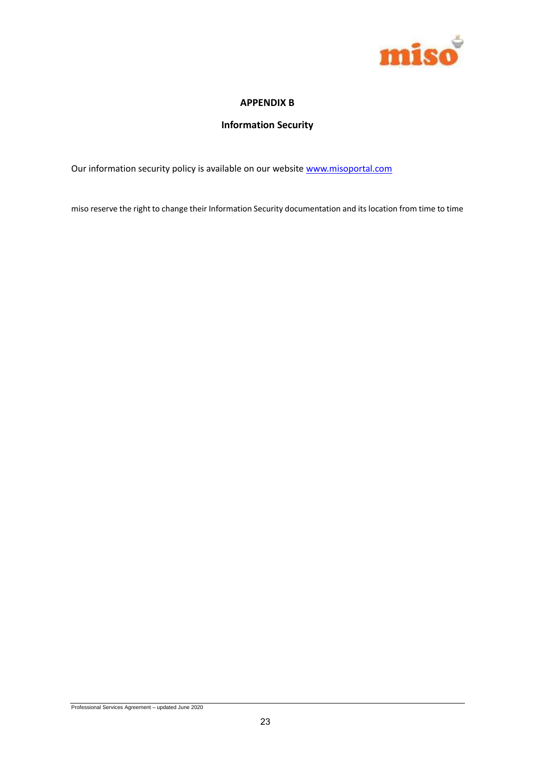

## **APPENDIX B**

# **Information Security**

Our information security policy is available on our website www.misoportal.com

miso reserve the right to change their Information Security documentation and its location from time to time